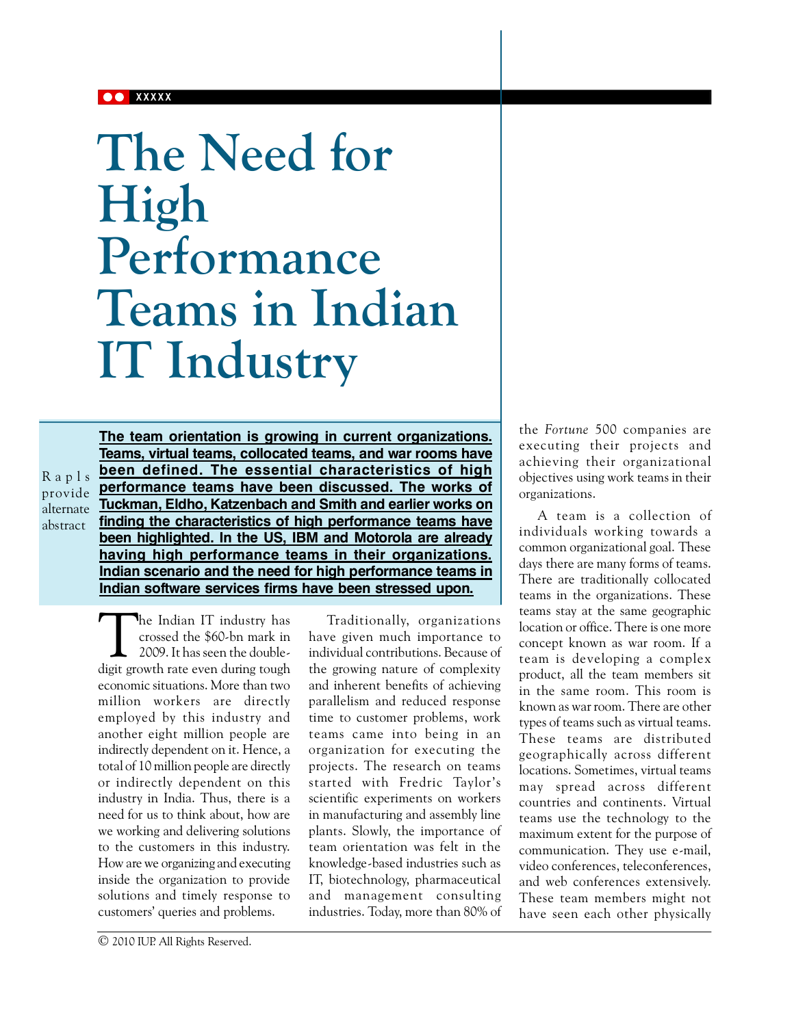## **OO** XXXXX

# **The Need for High Performance Teams in Indian IT Industry**

**The team orientation is growing in current organizations. Teams, virtual teams, collocated teams, and war rooms have been defined. The essential characteristics of high performance teams have been discussed. The works of Tuckman, Eldho, Katzenbach and Smith and earlier works on finding the characteristics of high performance teams have been highlighted. In the US, IBM and Motorola are already having high performance teams in their organizations. Indian scenario and the need for high performance teams in Indian software services firms have been stressed upon.** R a p l s provide alternate abstract

> The Indian IT industry has crossed the \$60-bn mark in 2009. It has seen the doubledigit growth rate even during tough economic situations. More than two million workers are directly employed by this industry and another eight million people are indirectly dependent on it. Hence, a total of 10 million people are directly or indirectly dependent on this industry in India. Thus, there is a need for us to think about, how are we working and delivering solutions to the customers in this industry. How are we organizing and executing inside the organization to provide solutions and timely response to customers' queries and problems.

have given much importance to individual contributions. Because of the growing nature of complexity and inherent benefits of achieving parallelism and reduced response time to customer problems, work teams came into being in an organization for executing the projects. The research on teams started with Fredric Taylor's scientific experiments on workers in manufacturing and assembly line plants. Slowly, the importance of team orientation was felt in the knowledge-based industries such as IT, biotechnology, pharmaceutical and management consulting industries. Today, more than 80% of

Traditionally, organizations

the *Fortune* 500 companies are executing their projects and achieving their organizational objectives using work teams in their organizations.

A team is a collection of individuals working towards a common organizational goal. These days there are many forms of teams. There are traditionally collocated teams in the organizations. These teams stay at the same geographic location or office. There is one more concept known as war room. If a team is developing a complex product, all the team members sit in the same room. This room is known as war room. There are other types of teams such as virtual teams. These teams are distributed geographically across different locations. Sometimes, virtual teams may spread across different countries and continents. Virtual teams use the technology to the maximum extent for the purpose of communication. They use e-mail, video conferences, teleconferences, and web conferences extensively. These team members might not have seen each other physically

<sup>©</sup> 2010 IUP. All Rights Reserved.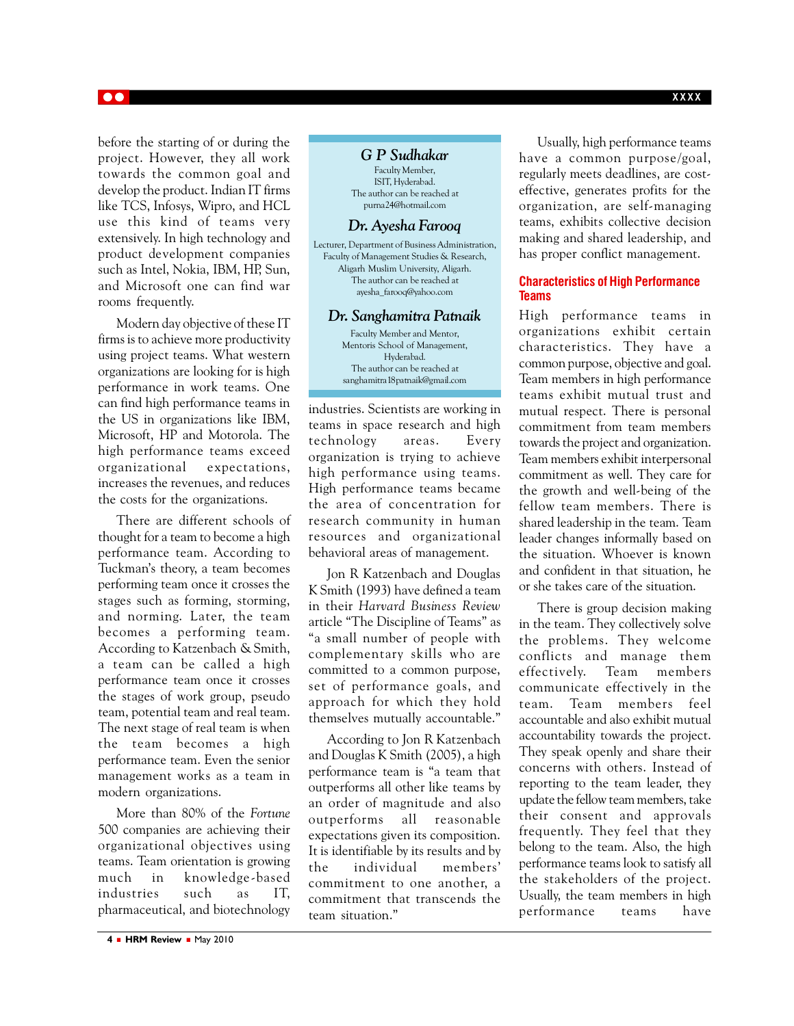$| \bullet \bullet |$ 

before the starting of or during the project. However, they all work towards the common goal and develop the product. Indian IT firms like TCS, Infosys, Wipro, and HCL use this kind of teams very extensively. In high technology and product development companies such as Intel, Nokia, IBM, HP, Sun, and Microsoft one can find war rooms frequently.

Modern day objective of these IT firms is to achieve more productivity using project teams. What western organizations are looking for is high performance in work teams. One can find high performance teams in the US in organizations like IBM, Microsoft, HP and Motorola. The high performance teams exceed organizational expectations, increases the revenues, and reduces the costs for the organizations.

There are different schools of thought for a team to become a high performance team. According to Tuckman's theory, a team becomes performing team once it crosses the stages such as forming, storming, and norming. Later, the team becomes a performing team. According to Katzenbach & Smith, a team can be called a high performance team once it crosses the stages of work group, pseudo team, potential team and real team. The next stage of real team is when the team becomes a high performance team. Even the senior management works as a team in modern organizations.

More than 80% of the *Fortune* 500 companies are achieving their organizational objectives using teams. Team orientation is growing much in knowledge-based industries such as IT, pharmaceutical, and biotechnology

#### *G P Sudhakar* Faculty Member, ISIT, Hyderabad.

The author can be reached at purna24@hotmail.com

### *Dr. Ayesha Farooq*

Lecturer, Department of Business Administration, Faculty of Management Studies & Research, Aligarh Muslim University, Aligarh. The author can be reached at ayesha\_farooq@yahoo.com

#### *Dr. Sanghamitra Patnaik*

Faculty Member and Mentor, Mentoris School of Management, Hyderabad. The author can be reached at sanghamitra18patnaik@gmail.com

industries. Scientists are working in teams in space research and high technology areas. Every organization is trying to achieve high performance using teams. High performance teams became the area of concentration for research community in human resources and organizational behavioral areas of management.

Jon R Katzenbach and Douglas K Smith (1993) have defined a team in their *Harvard Business Review* article "The Discipline of Teams" as "a small number of people with complementary skills who are committed to a common purpose, set of performance goals, and approach for which they hold themselves mutually accountable."

According to Jon R Katzenbach and Douglas K Smith (2005), a high performance team is "a team that outperforms all other like teams by an order of magnitude and also outperforms all reasonable expectations given its composition. It is identifiable by its results and by the individual members' commitment to one another, a commitment that transcends the team situation."

Usually, high performance teams have a common purpose/goal, regularly meets deadlines, are costeffective, generates profits for the organization, are self-managing teams, exhibits collective decision making and shared leadership, and has proper conflict management.

#### **Characteristics of High Performance Teams**

High performance teams in organizations exhibit certain characteristics. They have a common purpose, objective and goal. Team members in high performance teams exhibit mutual trust and mutual respect. There is personal commitment from team members towards the project and organization. Team members exhibit interpersonal commitment as well. They care for the growth and well-being of the fellow team members. There is shared leadership in the team. Team leader changes informally based on the situation. Whoever is known and confident in that situation, he or she takes care of the situation.

There is group decision making in the team. They collectively solve the problems. They welcome conflicts and manage them effectively. Team members communicate effectively in the team. Team members feel accountable and also exhibit mutual accountability towards the project. They speak openly and share their concerns with others. Instead of reporting to the team leader, they update the fellow team members, take their consent and approvals frequently. They feel that they belong to the team. Also, the high performance teams look to satisfy all the stakeholders of the project. Usually, the team members in high performance teams have